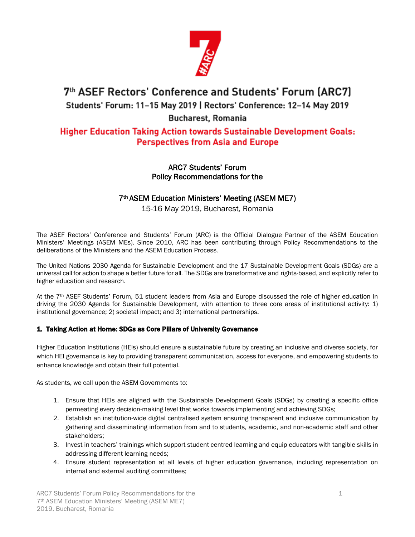

# 7th ASEF Rectors' Conference and Students' Forum (ARC7) Students' Forum: 11-15 May 2019 | Rectors' Conference: 12-14 May 2019

## **Bucharest, Romania**

## **Higher Education Taking Action towards Sustainable Development Goals: Perspectives from Asia and Europe**

### ARC7 Students' Forum Policy Recommendations for the

## 7th ASEM Education Ministers' Meeting (ASEM ME7)

## 15-16 May 2019, Bucharest, Romania

The ASEF Rectors' Conference and Students' Forum (ARC) is the Official Dialogue Partner of the ASEM Education Ministers' Meetings (ASEM MEs). Since 2010, ARC has been contributing through Policy Recommendations to the deliberations of the Ministers and the ASEM Education Process.

The United Nations 2030 Agenda for Sustainable Development and the 17 Sustainable Development Goals (SDGs) are a universal call for action to shape a better future for all. The SDGs are transformative and rights-based, and explicitly refer to higher education and research.

At the 7<sup>th</sup> ASEF Students' Forum, 51 student leaders from Asia and Europe discussed the role of higher education in driving the 2030 Agenda for Sustainable Development, with attention to three core areas of institutional activity: 1) institutional governance; 2) societal impact; and 3) international partnerships.

### 1. Taking Action at Home: SDGs as Core Pillars of University Governance

Higher Education Institutions (HEIs) should ensure a sustainable future by creating an inclusive and diverse society, for which HEI governance is key to providing transparent communication, access for everyone, and empowering students to enhance knowledge and obtain their full potential.

As students, we call upon the ASEM Governments to:

- 1. Ensure that HEIs are aligned with the Sustainable Development Goals (SDGs) by creating a specific office permeating every decision-making level that works towards implementing and achieving SDGs;
- 2. Establish an institution-wide digital centralised system ensuring transparent and inclusive communication by gathering and disseminating information from and to students, academic, and non-academic staff and other stakeholders;
- 3. Invest in teachers' trainings which support student centred learning and equip educators with tangible skills in addressing different learning needs;
- 4. Ensure student representation at all levels of higher education governance, including representation on internal and external auditing committees;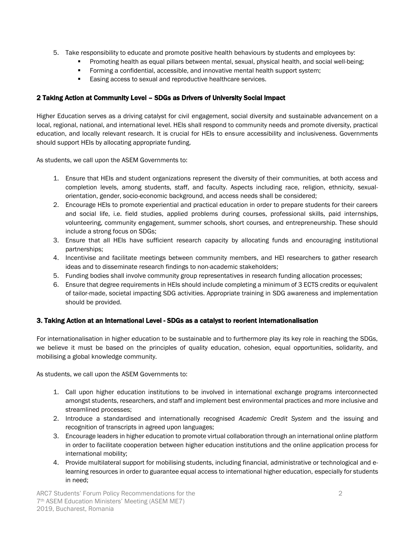- 5. Take responsibility to educate and promote positive health behaviours by students and employees by:
	- Promoting health as equal pillars between mental, sexual, physical health, and social well-being;
	- **•** Forming a confidential, accessible, and innovative mental health support system;
	- Easing access to sexual and reproductive healthcare services.

#### 2 Taking Action at Community Level – SDGs as Drivers of University Social Impact

Higher Education serves as a driving catalyst for civil engagement, social diversity and sustainable advancement on a local, regional, national, and international level. HEIs shall respond to community needs and promote diversity, practical education, and locally relevant research. It is crucial for HEIs to ensure accessibility and inclusiveness. Governments should support HEIs by allocating appropriate funding.

As students, we call upon the ASEM Governments to:

- 1. Ensure that HEIs and student organizations represent the diversity of their communities, at both access and completion levels, among students, staff, and faculty. Aspects including race, religion, ethnicity, sexualorientation, gender, socio-economic background, and access needs shall be considered;
- 2. Encourage HEIs to promote experiential and practical education in order to prepare students for their careers and social life, i.e. field studies, applied problems during courses, professional skills, paid internships, volunteering, community engagement, summer schools, short courses, and entrepreneurship. These should include a strong focus on SDGs;
- 3. Ensure that all HEIs have sufficient research capacity by allocating funds and encouraging institutional partnerships;
- 4. Incentivise and facilitate meetings between community members, and HEI researchers to gather research ideas and to disseminate research findings to non-academic stakeholders;
- 5. Funding bodies shall involve community group representatives in research funding allocation processes;
- 6. Ensure that degree requirements in HEIs should include completing a minimum of 3 ECTS credits or equivalent of tailor-made, societal impacting SDG activities. Appropriate training in SDG awareness and implementation should be provided.

#### 3. Taking Action at an International Level - SDGs as a catalyst to reorient internationalisation

For internationalisation in higher education to be sustainable and to furthermore play its key role in reaching the SDGs, we believe it must be based on the principles of quality education, cohesion, equal opportunities, solidarity, and mobilising a global knowledge community.

As students, we call upon the ASEM Governments to:

- 1. Call upon higher education institutions to be involved in international exchange programs interconnected amongst students, researchers, and staff and implement best environmental practices and more inclusive and streamlined processes;
- 2. Introduce a standardised and internationally recognised *Academic Credit System* and the issuing and recognition of transcripts in agreed upon languages;
- 3. Encourage leaders in higher education to promote virtual collaboration through an international online platform in order to facilitate cooperation between higher education institutions and the online application process for international mobility;
- 4. Provide multilateral support for mobilising students, including financial, administrative or technological and elearning resources in order to guarantee equal access to international higher education, especially for students in need;